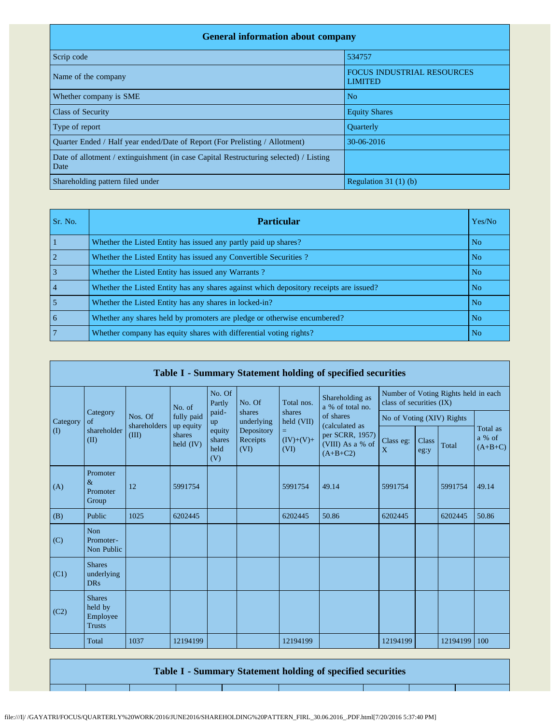| <b>General information about company</b>                                                      |                                                     |
|-----------------------------------------------------------------------------------------------|-----------------------------------------------------|
| Scrip code                                                                                    | 534757                                              |
| Name of the company                                                                           | <b>FOCUS INDUSTRIAL RESOURCES</b><br><b>LIMITED</b> |
| Whether company is SME                                                                        | N <sub>o</sub>                                      |
| <b>Class of Security</b>                                                                      | <b>Equity Shares</b>                                |
| Type of report                                                                                | <b>Ouarterly</b>                                    |
| Quarter Ended / Half year ended/Date of Report (For Prelisting / Allotment)                   | 30-06-2016                                          |
| Date of allotment / extinguishment (in case Capital Restructuring selected) / Listing<br>Date |                                                     |
| Shareholding pattern filed under                                                              | Regulation $31(1)(b)$                               |

| Sr. No.        | <b>Particular</b>                                                                      | Yes/No         |
|----------------|----------------------------------------------------------------------------------------|----------------|
|                | Whether the Listed Entity has issued any partly paid up shares?                        | N <sub>o</sub> |
| $\overline{2}$ | Whether the Listed Entity has issued any Convertible Securities?                       | N <sub>o</sub> |
| $\overline{3}$ | Whether the Listed Entity has issued any Warrants?                                     | N <sub>o</sub> |
| $\vert$ 4      | Whether the Listed Entity has any shares against which depository receipts are issued? | N <sub>o</sub> |
| $\overline{5}$ | Whether the Listed Entity has any shares in locked-in?                                 | N <sub>o</sub> |
| l 6            | Whether any shares held by promoters are pledge or otherwise encumbered?               | N <sub>o</sub> |
| $\overline{7}$ | Whether company has equity shares with differential voting rights?                     | N <sub>o</sub> |

|             | Table I - Summary Statement holding of specified securities |                         |                         |                                                |                                |                                                  |                                                   |                                                                  |               |          |                                 |  |  |
|-------------|-------------------------------------------------------------|-------------------------|-------------------------|------------------------------------------------|--------------------------------|--------------------------------------------------|---------------------------------------------------|------------------------------------------------------------------|---------------|----------|---------------------------------|--|--|
|             |                                                             |                         | No. of                  | No. Of<br>Partly                               | No. Of                         | Total nos.                                       | Shareholding as<br>a % of total no.               | Number of Voting Rights held in each<br>class of securities (IX) |               |          |                                 |  |  |
| Category    | Category<br>$\sigma$ f                                      | Nos. Of<br>shareholders | fully paid<br>up equity | paid-<br>up<br>equity<br>shares<br>held<br>(V) | shares<br>underlying           | shares<br>held (VII)<br>=<br>$(IV)+(V)+$<br>(VI) | of shares<br>(calculated as                       | No of Voting (XIV) Rights                                        |               |          |                                 |  |  |
| $($ $($ $)$ | shareholder<br>(II)                                         | (III)                   | shares<br>held (IV)     |                                                | Depository<br>Receipts<br>(VI) |                                                  | per SCRR, 1957)<br>(VIII) As a % of<br>$(A+B+C2)$ | Class eg:<br>X                                                   | Class<br>eg:y | Total    | Total as<br>a % of<br>$(A+B+C)$ |  |  |
| (A)         | Promoter<br>$\&$<br>Promoter<br>Group                       | 12                      | 5991754                 |                                                |                                | 5991754                                          | 49.14                                             | 5991754                                                          |               | 5991754  | 49.14                           |  |  |
| (B)         | Public                                                      | 1025                    | 6202445                 |                                                |                                | 6202445                                          | 50.86                                             | 6202445                                                          |               | 6202445  | 50.86                           |  |  |
| (C)         | <b>Non</b><br>Promoter-<br>Non Public                       |                         |                         |                                                |                                |                                                  |                                                   |                                                                  |               |          |                                 |  |  |
| (C1)        | <b>Shares</b><br>underlying<br><b>DRs</b>                   |                         |                         |                                                |                                |                                                  |                                                   |                                                                  |               |          |                                 |  |  |
| (C2)        | <b>Shares</b><br>held by<br>Employee<br><b>Trusts</b>       |                         |                         |                                                |                                |                                                  |                                                   |                                                                  |               |          |                                 |  |  |
|             | Total                                                       | 1037                    | 12194199                |                                                |                                | 12194199                                         |                                                   | 12194199                                                         |               | 12194199 | 100                             |  |  |

**Table I - Summary Statement holding of specified securities**

Τ

file:///I|/ /GAYATRI/FOCUS/QUARTERLY%20WORK/2016/JUNE2016/SHAREHOLDING%20PATTERN\_FIRL\_30.06.2016\_.PDF.html[7/20/2016 5:37:40 PM]

т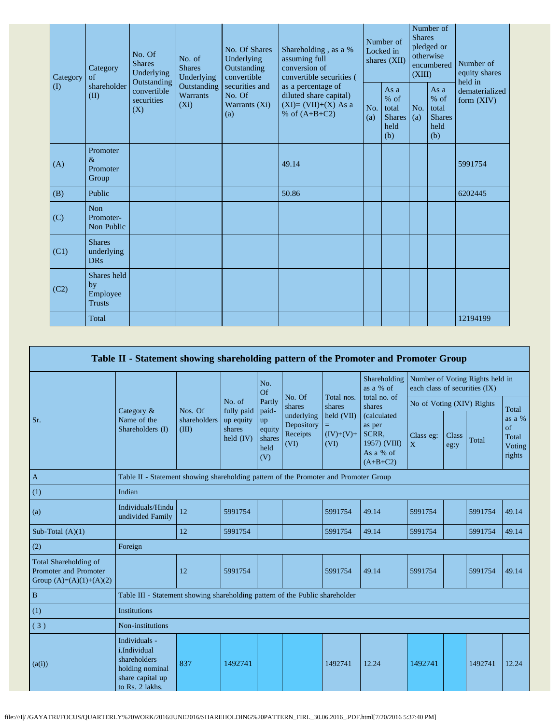| Category |          | Category<br>of                                 | No. Of<br><b>Shares</b><br>Underlying<br>Outstanding | No. of<br><b>Shares</b><br>Underlying     | No. Of Shares<br>Underlying<br>Outstanding<br>convertible | Shareholding, as a %<br>assuming full<br>conversion of<br>convertible securities (<br>as a percentage of<br>diluted share capital)<br>$(XI)=(VII)+(X) As a$<br>% of $(A+B+C2)$ | Number of<br>Locked in<br>shares (XII) |                                                         | Number of<br><b>Shares</b><br>pledged or<br>otherwise<br>encumbered<br>(XIII) |                                                       | Number of<br>equity shares<br>held in |
|----------|----------|------------------------------------------------|------------------------------------------------------|-------------------------------------------|-----------------------------------------------------------|--------------------------------------------------------------------------------------------------------------------------------------------------------------------------------|----------------------------------------|---------------------------------------------------------|-------------------------------------------------------------------------------|-------------------------------------------------------|---------------------------------------|
|          | $\rm(D)$ | shareholder<br>(II)                            | convertible<br>securities<br>(X)                     | Outstanding<br><b>Warrants</b><br>$(X_i)$ | securities and<br>No. Of<br>Warrants (Xi)<br>(a)          |                                                                                                                                                                                | No.<br>(a)                             | As a<br>$%$ of<br>total<br><b>Shares</b><br>held<br>(b) | No.<br>(a)                                                                    | As a<br>% of<br>total<br><b>Shares</b><br>held<br>(b) | dematerialized<br>form $(XIV)$        |
|          | (A)      | Promoter<br>$\&$<br>Promoter<br>Group          |                                                      |                                           |                                                           | 49.14                                                                                                                                                                          |                                        |                                                         |                                                                               |                                                       | 5991754                               |
|          | (B)      | Public                                         |                                                      |                                           |                                                           | 50.86                                                                                                                                                                          |                                        |                                                         |                                                                               |                                                       | 6202445                               |
|          | (C)      | <b>Non</b><br>Promoter-<br>Non Public          |                                                      |                                           |                                                           |                                                                                                                                                                                |                                        |                                                         |                                                                               |                                                       |                                       |
|          | (C1)     | <b>Shares</b><br>underlying<br><b>DRs</b>      |                                                      |                                           |                                                           |                                                                                                                                                                                |                                        |                                                         |                                                                               |                                                       |                                       |
|          | (C2)     | Shares held<br>by<br>Employee<br><b>Trusts</b> |                                                      |                                           |                                                           |                                                                                                                                                                                |                                        |                                                         |                                                                               |                                                       |                                       |
|          |          | Total                                          |                                                      |                                           |                                                           |                                                                                                                                                                                |                                        |                                                         |                                                                               |                                                       | 12194199                              |

|                                                                             | Table II - Statement showing shareholding pattern of the Promoter and Promoter Group                                                                                                                                                                                                                                                                                       |                                                                           |                |                      |                  |                                           |                           |                               |  |                                 |       |
|-----------------------------------------------------------------------------|----------------------------------------------------------------------------------------------------------------------------------------------------------------------------------------------------------------------------------------------------------------------------------------------------------------------------------------------------------------------------|---------------------------------------------------------------------------|----------------|----------------------|------------------|-------------------------------------------|---------------------------|-------------------------------|--|---------------------------------|-------|
|                                                                             |                                                                                                                                                                                                                                                                                                                                                                            |                                                                           |                | No.<br>Of            |                  |                                           | Shareholding<br>as a % of | each class of securities (IX) |  | Number of Voting Rights held in |       |
|                                                                             |                                                                                                                                                                                                                                                                                                                                                                            | Nos. Of                                                                   | No. of         | Partly               | No. Of<br>shares | Total nos.<br>shares                      | total no. of<br>shares    | No of Voting (XIV) Rights     |  |                                 | Total |
| Sr.                                                                         | fully paid<br>paid-<br>Category $\&$<br>held (VII)<br>underlying<br>Name of the<br>shareholders<br>up equity<br>up<br>Depository<br>Ξ.<br>Shareholders (I)<br>(III)<br>shares<br>equity<br>Receipts<br>$(IV)+(V)+$<br>$\text{held } (IV)$<br>shares<br>(VI)<br>(VI)<br>held<br>(V)<br>Table II - Statement showing shareholding pattern of the Promoter and Promoter Group | (calculated<br>as per<br>SCRR,<br>1957) (VIII)<br>As a % of<br>$(A+B+C2)$ | Class eg:<br>X | <b>Class</b><br>eg:y | Total            | as a %<br>of<br>Total<br>Voting<br>rights |                           |                               |  |                                 |       |
| $\mathbf{A}$                                                                |                                                                                                                                                                                                                                                                                                                                                                            |                                                                           |                |                      |                  |                                           |                           |                               |  |                                 |       |
| (1)                                                                         | Indian                                                                                                                                                                                                                                                                                                                                                                     |                                                                           |                |                      |                  |                                           |                           |                               |  |                                 |       |
| (a)                                                                         | Individuals/Hindu<br>undivided Family                                                                                                                                                                                                                                                                                                                                      | 12                                                                        | 5991754        |                      |                  | 5991754                                   | 49.14                     | 5991754                       |  | 5991754                         | 49.14 |
| Sub-Total $(A)(1)$                                                          |                                                                                                                                                                                                                                                                                                                                                                            | 12                                                                        | 5991754        |                      |                  | 5991754                                   | 49.14                     | 5991754                       |  | 5991754                         | 49.14 |
| (2)                                                                         | Foreign                                                                                                                                                                                                                                                                                                                                                                    |                                                                           |                |                      |                  |                                           |                           |                               |  |                                 |       |
| Total Shareholding of<br>Promoter and Promoter<br>Group $(A)=(A)(1)+(A)(2)$ |                                                                                                                                                                                                                                                                                                                                                                            | 12                                                                        | 5991754        |                      |                  | 5991754                                   | 49.14                     | 5991754                       |  | 5991754                         | 49.14 |
| $\, {\bf B}$                                                                | Table III - Statement showing shareholding pattern of the Public shareholder                                                                                                                                                                                                                                                                                               |                                                                           |                |                      |                  |                                           |                           |                               |  |                                 |       |
| (1)                                                                         | <b>Institutions</b>                                                                                                                                                                                                                                                                                                                                                        |                                                                           |                |                      |                  |                                           |                           |                               |  |                                 |       |
| (3)                                                                         | Non-institutions                                                                                                                                                                                                                                                                                                                                                           |                                                                           |                |                      |                  |                                           |                           |                               |  |                                 |       |
| (a(i))                                                                      | Individuals -<br>i.Individual<br>shareholders<br>holding nominal<br>share capital up<br>to Rs. 2 lakhs.                                                                                                                                                                                                                                                                    | 837                                                                       | 1492741        |                      |                  | 1492741                                   | 12.24                     | 1492741                       |  | 1492741                         | 12.24 |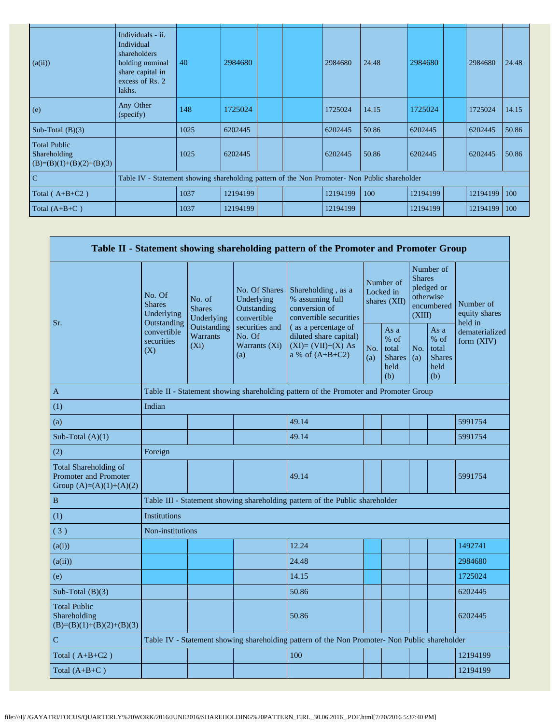| (a(ii))                                                           | Individuals - ii.<br>Individual<br>shareholders<br>holding nominal<br>share capital in<br>excess of Rs. 2<br>lakhs. | 40   | 2984680  |  | 2984680  | 24.48 | 2984680  | 2984680  | 24.48 |
|-------------------------------------------------------------------|---------------------------------------------------------------------------------------------------------------------|------|----------|--|----------|-------|----------|----------|-------|
| (e)                                                               | Any Other<br>(specify)                                                                                              | 148  | 1725024  |  | 1725024  | 14.15 | 1725024  | 1725024  | 14.15 |
| Sub-Total $(B)(3)$                                                |                                                                                                                     | 1025 | 6202445  |  | 6202445  | 50.86 | 6202445  | 6202445  | 50.86 |
| <b>Total Public</b><br>Shareholding<br>$(B)=(B)(1)+(B)(2)+(B)(3)$ |                                                                                                                     | 1025 | 6202445  |  | 6202445  | 50.86 | 6202445  | 6202445  | 50.86 |
| $\overline{C}$                                                    | Table IV - Statement showing shareholding pattern of the Non Promoter- Non Public shareholder                       |      |          |  |          |       |          |          |       |
| Total $(A+B+C2)$                                                  |                                                                                                                     | 1037 | 12194199 |  | 12194199 | 100   | 12194199 | 12194199 | 100   |
| Total $(A+B+C)$                                                   |                                                                                                                     | 1037 | 12194199 |  | 12194199 |       | 12194199 | 12194199 | 100   |

|                                                                                    |                                                      |                                       |                                                           | Table II - Statement showing shareholding pattern of the Promoter and Promoter Group          |            |                                                         |            |                                                                               |                                       |
|------------------------------------------------------------------------------------|------------------------------------------------------|---------------------------------------|-----------------------------------------------------------|-----------------------------------------------------------------------------------------------|------------|---------------------------------------------------------|------------|-------------------------------------------------------------------------------|---------------------------------------|
|                                                                                    | No. Of<br><b>Shares</b><br>Underlying<br>Outstanding | No. of<br><b>Shares</b><br>Underlying | No. Of Shares<br>Underlying<br>Outstanding<br>convertible | Shareholding, as a<br>% assuming full<br>conversion of<br>convertible securities              |            | Number of<br>Locked in<br>shares (XII)                  |            | Number of<br><b>Shares</b><br>pledged or<br>otherwise<br>encumbered<br>(XIII) | Number of<br>equity shares<br>held in |
| Sr.                                                                                | convertible<br>securities<br>(X)                     | Outstanding<br>Warrants<br>$(X_i)$    | securities and<br>No. Of<br>Warrants (Xi)<br>(a)          | (as a percentage of<br>diluted share capital)<br>$(XI)=(VII)+(X) As$<br>a % of $(A+B+C2)$     | No.<br>(a) | As a<br>$%$ of<br>total<br><b>Shares</b><br>held<br>(b) | No.<br>(a) | As a<br>% of<br>total<br><b>Shares</b><br>held<br>(b)                         | dematerialized<br>form $(XIV)$        |
| A                                                                                  |                                                      |                                       |                                                           | Table II - Statement showing shareholding pattern of the Promoter and Promoter Group          |            |                                                         |            |                                                                               |                                       |
| (1)                                                                                | Indian                                               |                                       |                                                           |                                                                                               |            |                                                         |            |                                                                               |                                       |
| (a)                                                                                |                                                      |                                       |                                                           | 49.14                                                                                         |            |                                                         |            |                                                                               | 5991754                               |
| Sub-Total $(A)(1)$                                                                 |                                                      |                                       |                                                           | 49.14                                                                                         |            |                                                         |            |                                                                               | 5991754                               |
| (2)                                                                                | Foreign                                              |                                       |                                                           |                                                                                               |            |                                                         |            |                                                                               |                                       |
| Total Shareholding of<br><b>Promoter and Promoter</b><br>Group $(A)=(A)(1)+(A)(2)$ |                                                      |                                       |                                                           | 49.14                                                                                         |            |                                                         |            |                                                                               | 5991754                               |
| $\, {\bf B}$                                                                       |                                                      |                                       |                                                           | Table III - Statement showing shareholding pattern of the Public shareholder                  |            |                                                         |            |                                                                               |                                       |
| (1)                                                                                | <b>Institutions</b>                                  |                                       |                                                           |                                                                                               |            |                                                         |            |                                                                               |                                       |
| (3)                                                                                | Non-institutions                                     |                                       |                                                           |                                                                                               |            |                                                         |            |                                                                               |                                       |
| (a(i))                                                                             |                                                      |                                       |                                                           | 12.24                                                                                         |            |                                                         |            |                                                                               | 1492741                               |
| (a(ii))                                                                            |                                                      |                                       |                                                           | 24.48                                                                                         |            |                                                         |            |                                                                               | 2984680                               |
| (e)                                                                                |                                                      |                                       |                                                           | 14.15                                                                                         |            |                                                         |            |                                                                               | 1725024                               |
| Sub-Total $(B)(3)$                                                                 |                                                      |                                       |                                                           | 50.86                                                                                         |            |                                                         |            |                                                                               | 6202445                               |
| <b>Total Public</b><br>Shareholding<br>$(B)=(B)(1)+(B)(2)+(B)(3)$                  |                                                      |                                       |                                                           | 50.86                                                                                         |            |                                                         |            |                                                                               | 6202445                               |
| $\mathbf C$                                                                        |                                                      |                                       |                                                           | Table IV - Statement showing shareholding pattern of the Non Promoter- Non Public shareholder |            |                                                         |            |                                                                               |                                       |
| Total $(A+B+C2)$                                                                   |                                                      |                                       |                                                           | 100                                                                                           |            |                                                         |            |                                                                               | 12194199                              |
| Total $(A+B+C)$                                                                    |                                                      |                                       |                                                           |                                                                                               |            |                                                         |            |                                                                               | 12194199                              |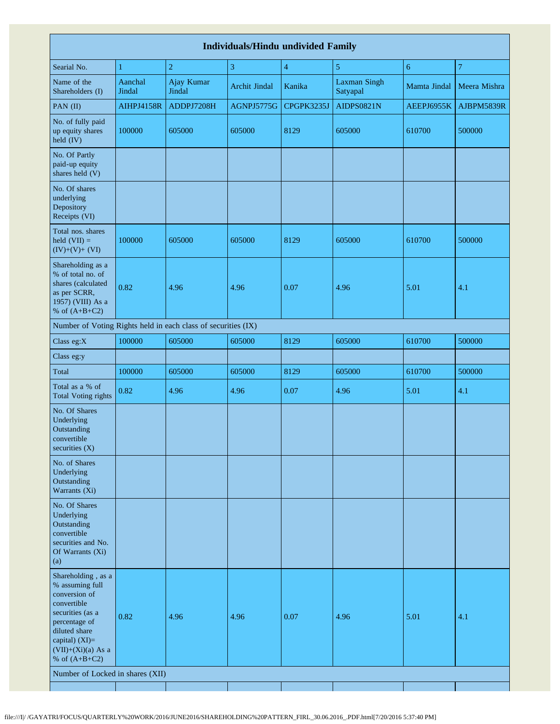| <b>Individuals/Hindu undivided Family</b>                                                                                                                                                |                   |                      |                      |                         |                                 |              |                |  |  |  |
|------------------------------------------------------------------------------------------------------------------------------------------------------------------------------------------|-------------------|----------------------|----------------------|-------------------------|---------------------------------|--------------|----------------|--|--|--|
| Searial No.                                                                                                                                                                              | $\mathbf{1}$      | $\sqrt{2}$           | 3                    | $\overline{\mathbf{4}}$ | 5                               | 6            | $\overline{7}$ |  |  |  |
| Name of the<br>Shareholders (I)                                                                                                                                                          | Aanchal<br>Jindal | Ajay Kumar<br>Jindal | <b>Archit Jindal</b> | Kanika                  | <b>Laxman Singh</b><br>Satyapal | Mamta Jindal | Meera Mishra   |  |  |  |
| PAN (II)                                                                                                                                                                                 | <b>AIHPJ4158R</b> | ADDPJ7208H           | AGNPJ5775G           | CPGPK3235J              | AIDPS0821N                      | AEEPJ6955K   | AJBPM5839R     |  |  |  |
| No. of fully paid<br>up equity shares<br>held (IV)                                                                                                                                       | 100000            | 605000               | 605000               | 8129                    | 605000                          | 610700       | 500000         |  |  |  |
| No. Of Partly<br>paid-up equity<br>shares held (V)                                                                                                                                       |                   |                      |                      |                         |                                 |              |                |  |  |  |
| No. Of shares<br>underlying<br>Depository<br>Receipts (VI)                                                                                                                               |                   |                      |                      |                         |                                 |              |                |  |  |  |
| Total nos. shares<br>held $(VII) =$<br>$(IV)+(V)+(VI)$                                                                                                                                   | 100000            | 605000               | 605000               | 8129                    | 605000                          | 610700       | 500000         |  |  |  |
| Shareholding as a<br>% of total no. of<br>shares (calculated<br>as per SCRR,<br>1957) (VIII) As a<br>% of $(A+B+C2)$                                                                     | 0.82              | 4.96                 | 4.96                 | 0.07                    | 4.96                            | 5.01         | 4.1            |  |  |  |
| Number of Voting Rights held in each class of securities (IX)                                                                                                                            |                   |                      |                      |                         |                                 |              |                |  |  |  |
| Class eg: $X$                                                                                                                                                                            | 100000            | 605000               | 605000               | 8129                    | 605000                          | 610700       | 500000         |  |  |  |
| Class eg:y                                                                                                                                                                               |                   |                      |                      |                         |                                 |              |                |  |  |  |
| Total                                                                                                                                                                                    | 100000            | 605000               | 605000               | 8129                    | 605000                          | 610700       | 500000         |  |  |  |
| Total as a % of<br><b>Total Voting rights</b>                                                                                                                                            | 0.82              | 4.96                 | 4.96                 | 0.07                    | 4.96                            | 5.01         | 4.1            |  |  |  |
| No. Of Shares<br>Underlying<br>Outstanding<br>convertible<br>securities $(X)$                                                                                                            |                   |                      |                      |                         |                                 |              |                |  |  |  |
| No. of Shares<br>Underlying<br>Outstanding<br>Warrants (Xi)                                                                                                                              |                   |                      |                      |                         |                                 |              |                |  |  |  |
| No. Of Shares<br>Underlying<br>Outstanding<br>convertible<br>securities and No.<br>Of Warrants (Xi)<br>(a)                                                                               |                   |                      |                      |                         |                                 |              |                |  |  |  |
| Shareholding, as a<br>% assuming full<br>conversion of<br>convertible<br>securities (as a<br>percentage of<br>diluted share<br>capital) (XI)=<br>$(VII)+(Xi)(a)$ As a<br>% of $(A+B+C2)$ | 0.82              | 4.96                 | 4.96                 | 0.07                    | 4.96                            | 5.01         | 4.1            |  |  |  |
| Number of Locked in shares (XII)                                                                                                                                                         |                   |                      |                      |                         |                                 |              |                |  |  |  |
|                                                                                                                                                                                          |                   |                      |                      |                         |                                 |              |                |  |  |  |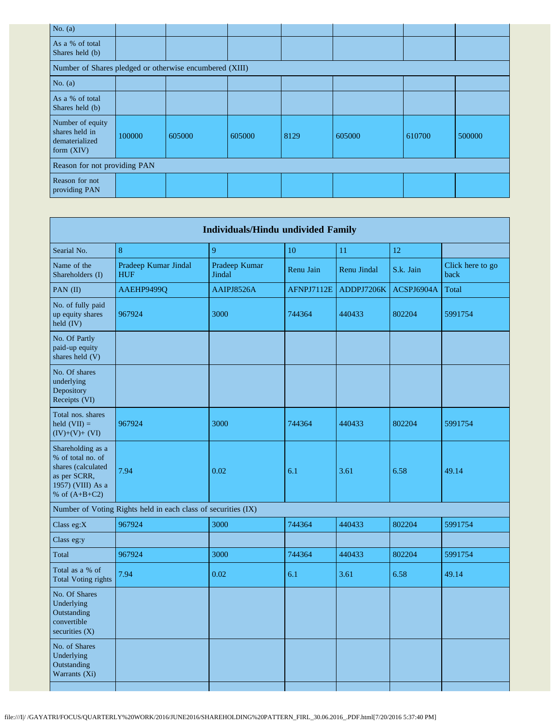| No. $(a)$                                                            |        |        |        |      |        |        |        |
|----------------------------------------------------------------------|--------|--------|--------|------|--------|--------|--------|
| As a % of total<br>Shares held (b)                                   |        |        |        |      |        |        |        |
| Number of Shares pledged or otherwise encumbered (XIII)              |        |        |        |      |        |        |        |
| No. $(a)$                                                            |        |        |        |      |        |        |        |
| As a % of total<br>Shares held (b)                                   |        |        |        |      |        |        |        |
| Number of equity<br>shares held in<br>dematerialized<br>form $(XIV)$ | 100000 | 605000 | 605000 | 8129 | 605000 | 610700 | 500000 |
| Reason for not providing PAN                                         |        |        |        |      |        |        |        |
| Reason for not<br>providing PAN                                      |        |        |        |      |        |        |        |

|                                                                                                                      |                                                               | <b>Individuals/Hindu undivided Family</b> |            |             |            |                          |
|----------------------------------------------------------------------------------------------------------------------|---------------------------------------------------------------|-------------------------------------------|------------|-------------|------------|--------------------------|
| Searial No.                                                                                                          | 8                                                             | 9                                         | 10         | 11          | 12         |                          |
| Name of the<br>Shareholders (I)                                                                                      | Pradeep Kumar Jindal<br><b>HUF</b>                            | Pradeep Kumar<br>Jindal                   | Renu Jain  | Renu Jindal | S.k. Jain  | Click here to go<br>back |
| PAN (II)                                                                                                             | AAEHP9499Q                                                    | AAIPJ8526A                                | AFNPJ7112E | ADDPJ7206K  | ACSPJ6904A | Total                    |
| No. of fully paid<br>up equity shares<br>held (IV)                                                                   | 967924                                                        | 3000                                      | 744364     | 440433      | 802204     | 5991754                  |
| No. Of Partly<br>paid-up equity<br>shares held (V)                                                                   |                                                               |                                           |            |             |            |                          |
| No. Of shares<br>underlying<br>Depository<br>Receipts (VI)                                                           |                                                               |                                           |            |             |            |                          |
| Total nos. shares<br>held $(VII) =$<br>$(IV)+(V)+(VI)$                                                               | 967924                                                        | 3000                                      | 744364     | 440433      | 802204     | 5991754                  |
| Shareholding as a<br>% of total no. of<br>shares (calculated<br>as per SCRR,<br>1957) (VIII) As a<br>% of $(A+B+C2)$ | 7.94                                                          | 0.02                                      | 6.1        | 3.61        | 6.58       | 49.14                    |
|                                                                                                                      | Number of Voting Rights held in each class of securities (IX) |                                           |            |             |            |                          |
| Class eg:X                                                                                                           | 967924                                                        | 3000                                      | 744364     | 440433      | 802204     | 5991754                  |
| Class eg:y                                                                                                           |                                                               |                                           |            |             |            |                          |
| Total                                                                                                                | 967924                                                        | 3000                                      | 744364     | 440433      | 802204     | 5991754                  |
| Total as a % of<br><b>Total Voting rights</b>                                                                        | 7.94                                                          | 0.02                                      | 6.1        | 3.61        | 6.58       | 49.14                    |
| No. Of Shares<br>Underlying<br>Outstanding<br>convertible<br>securities $(X)$                                        |                                                               |                                           |            |             |            |                          |
| No. of Shares<br>Underlying<br>Outstanding<br>Warrants (Xi)                                                          |                                                               |                                           |            |             |            |                          |
|                                                                                                                      |                                                               |                                           |            |             |            |                          |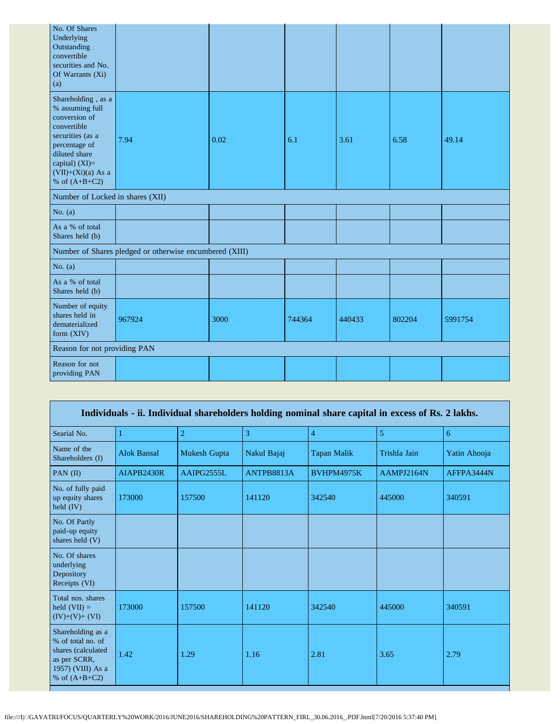| No. Of Shares<br>Underlying<br>Outstanding<br>convertible<br>securities and No.<br>Of Warrants (Xi)<br>(a)                                                                               |                                                         |      |        |        |        |         |
|------------------------------------------------------------------------------------------------------------------------------------------------------------------------------------------|---------------------------------------------------------|------|--------|--------|--------|---------|
| Shareholding, as a<br>% assuming full<br>conversion of<br>convertible<br>securities (as a<br>percentage of<br>diluted share<br>capital) (XI)=<br>$(VII)+(Xi)(a)$ As a<br>% of $(A+B+C2)$ | 7.94                                                    | 0.02 | 6.1    | 3.61   | 6.58   | 49.14   |
| Number of Locked in shares (XII)                                                                                                                                                         |                                                         |      |        |        |        |         |
| No. $(a)$                                                                                                                                                                                |                                                         |      |        |        |        |         |
| As a % of total<br>Shares held (b)                                                                                                                                                       |                                                         |      |        |        |        |         |
|                                                                                                                                                                                          | Number of Shares pledged or otherwise encumbered (XIII) |      |        |        |        |         |
| No. $(a)$                                                                                                                                                                                |                                                         |      |        |        |        |         |
| As a % of total<br>Shares held (b)                                                                                                                                                       |                                                         |      |        |        |        |         |
| Number of equity<br>shares held in<br>dematerialized<br>form (XIV)                                                                                                                       | 967924                                                  | 3000 | 744364 | 440433 | 802204 | 5991754 |
| Reason for not providing PAN                                                                                                                                                             |                                                         |      |        |        |        |         |
| Reason for not<br>providing PAN                                                                                                                                                          |                                                         |      |        |        |        |         |

|                                                                                                                      |                    |                |             | Individuals - ii. Individual shareholders holding nominal share capital in excess of Rs. 2 lakhs. |              |              |
|----------------------------------------------------------------------------------------------------------------------|--------------------|----------------|-------------|---------------------------------------------------------------------------------------------------|--------------|--------------|
| Searial No.                                                                                                          |                    | $\overline{2}$ | 3           | $\overline{4}$                                                                                    | 5            | 6            |
| Name of the<br>Shareholders (I)                                                                                      | <b>Alok Bansal</b> | Mukesh Gupta   | Nakul Bajaj | Tapan Malik                                                                                       | Trishla Jain | Yatin Ahooja |
| PAN (II)                                                                                                             | AIAPB2430R         | AAIPG2555L     | ANTPB8813A  | <b>BVHPM4975K</b>                                                                                 | AAMPJ2164N   | AFFPA3444N   |
| No. of fully paid<br>up equity shares<br>held $(IV)$                                                                 | 173000             | 157500         | 141120      | 342540                                                                                            | 445000       | 340591       |
| No. Of Partly<br>paid-up equity<br>shares held (V)                                                                   |                    |                |             |                                                                                                   |              |              |
| No. Of shares<br>underlying<br>Depository<br>Receipts (VI)                                                           |                    |                |             |                                                                                                   |              |              |
| Total nos. shares<br>held $(VII) =$<br>$(IV)+(V)+(VI)$                                                               | 173000             | 157500         | 141120      | 342540                                                                                            | 445000       | 340591       |
| Shareholding as a<br>% of total no. of<br>shares (calculated<br>as per SCRR,<br>1957) (VIII) As a<br>% of $(A+B+C2)$ | 1.42               | 1.29           | 1.16        | 2.81                                                                                              | 3.65         | 2.79         |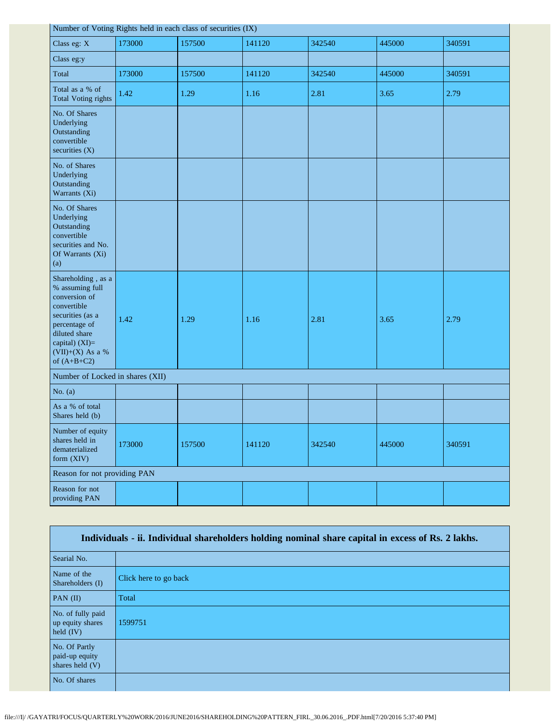|                                                                                                                                                                                    |        | Number of Voting Rights held in each class of securities (IX) |        |        |        |        |
|------------------------------------------------------------------------------------------------------------------------------------------------------------------------------------|--------|---------------------------------------------------------------|--------|--------|--------|--------|
| Class eg: X                                                                                                                                                                        | 173000 | 157500                                                        | 141120 | 342540 | 445000 | 340591 |
| Class eg:y                                                                                                                                                                         |        |                                                               |        |        |        |        |
| Total                                                                                                                                                                              | 173000 | 157500                                                        | 141120 | 342540 | 445000 | 340591 |
| Total as a % of<br><b>Total Voting rights</b>                                                                                                                                      | 1.42   | 1.29                                                          | 1.16   | 2.81   | 3.65   | 2.79   |
| No. Of Shares<br>Underlying<br>Outstanding<br>convertible<br>securities (X)                                                                                                        |        |                                                               |        |        |        |        |
| No. of Shares<br>Underlying<br>Outstanding<br>Warrants (Xi)                                                                                                                        |        |                                                               |        |        |        |        |
| No. Of Shares<br>Underlying<br>Outstanding<br>convertible<br>securities and No.<br>Of Warrants (Xi)<br>(a)                                                                         |        |                                                               |        |        |        |        |
| Shareholding, as a<br>% assuming full<br>conversion of<br>convertible<br>securities (as a<br>percentage of<br>diluted share<br>capital) (XI)=<br>(VII)+(X) As a %<br>of $(A+B+C2)$ | 1.42   | 1.29                                                          | 1.16   | 2.81   | 3.65   | 2.79   |
| Number of Locked in shares (XII)                                                                                                                                                   |        |                                                               |        |        |        |        |
| No. $(a)$                                                                                                                                                                          |        |                                                               |        |        |        |        |
| As a % of total<br>Shares held (b)                                                                                                                                                 |        |                                                               |        |        |        |        |
| Number of equity<br>shares held in<br>dematerialized<br>form (XIV)                                                                                                                 | 173000 | 157500                                                        | 141120 | 342540 | 445000 | 340591 |
| Reason for not providing PAN                                                                                                                                                       |        |                                                               |        |        |        |        |
| Reason for not<br>providing PAN                                                                                                                                                    |        |                                                               |        |        |        |        |

| Individuals - ii. Individual shareholders holding nominal share capital in excess of Rs. 2 lakhs. |                       |  |  |  |
|---------------------------------------------------------------------------------------------------|-----------------------|--|--|--|
| Searial No.                                                                                       |                       |  |  |  |
| Name of the<br>Shareholders (I)                                                                   | Click here to go back |  |  |  |
| PAN $(II)$                                                                                        | Total                 |  |  |  |
| No. of fully paid<br>up equity shares<br>held $(IV)$                                              | 1599751               |  |  |  |
| No. Of Partly<br>paid-up equity<br>shares held $(V)$                                              |                       |  |  |  |
| No. Of shares                                                                                     |                       |  |  |  |

ī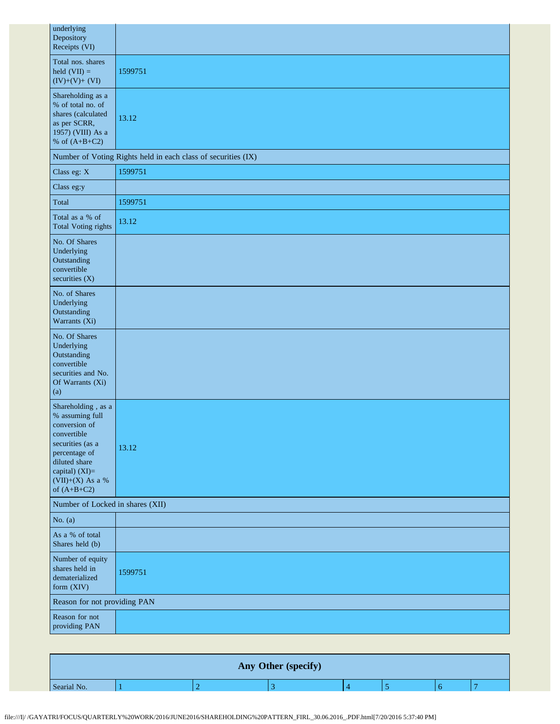| underlying<br>Depository<br>Receipts (VI)                                                                                                                                            |                                                               |  |  |  |
|--------------------------------------------------------------------------------------------------------------------------------------------------------------------------------------|---------------------------------------------------------------|--|--|--|
| Total nos. shares<br>held $(VII)$ =<br>$(IV)+(V)+(VI)$                                                                                                                               | 1599751                                                       |  |  |  |
| Shareholding as a<br>% of total no. of<br>shares (calculated<br>as per SCRR,<br>1957) (VIII) As a<br>% of $(A+B+C2)$                                                                 | 13.12                                                         |  |  |  |
|                                                                                                                                                                                      | Number of Voting Rights held in each class of securities (IX) |  |  |  |
| Class eg: X                                                                                                                                                                          | 1599751                                                       |  |  |  |
| Class eg:y                                                                                                                                                                           |                                                               |  |  |  |
| Total                                                                                                                                                                                | 1599751                                                       |  |  |  |
| Total as a % of<br><b>Total Voting rights</b>                                                                                                                                        | 13.12                                                         |  |  |  |
| No. Of Shares<br>Underlying<br>Outstanding<br>convertible<br>securities (X)                                                                                                          |                                                               |  |  |  |
| No. of Shares<br>Underlying<br>Outstanding<br>Warrants (Xi)                                                                                                                          |                                                               |  |  |  |
| No. Of Shares<br>Underlying<br>Outstanding<br>convertible<br>securities and No.<br>Of Warrants (Xi)<br>(a)                                                                           |                                                               |  |  |  |
| Shareholding, as a<br>% assuming full<br>conversion of<br>convertible<br>securities (as a<br>percentage of<br>diluted share<br>capital) (XI)=<br>$(VII)+(X)$ As a %<br>of $(A+B+C2)$ | 13.12                                                         |  |  |  |
|                                                                                                                                                                                      | Number of Locked in shares (XII)                              |  |  |  |
| No. $(a)$                                                                                                                                                                            |                                                               |  |  |  |
| As a % of total<br>Shares held (b)                                                                                                                                                   |                                                               |  |  |  |
| Number of equity<br>shares held in<br>dematerialized<br>form (XIV)                                                                                                                   | 1599751                                                       |  |  |  |
| Reason for not providing PAN                                                                                                                                                         |                                                               |  |  |  |
| Reason for not<br>providing PAN                                                                                                                                                      |                                                               |  |  |  |

|             |  | Any Other (specify) |  |  |
|-------------|--|---------------------|--|--|
| Searial No. |  |                     |  |  |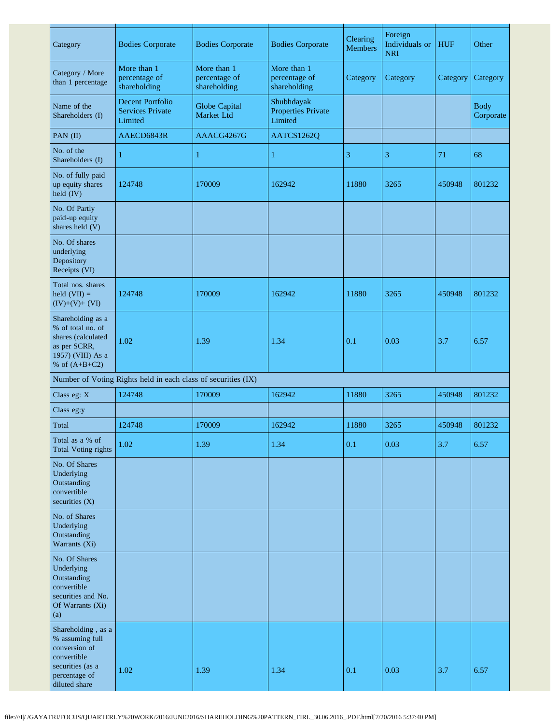| Category                                                                                                                    | <b>Bodies Corporate</b>                                       | <b>Bodies Corporate</b>                      | <b>Bodies Corporate</b>                            | Clearing<br><b>Members</b> | Foreign<br>Individuals or<br><b>NRI</b> | <b>HUF</b> | Other                    |
|-----------------------------------------------------------------------------------------------------------------------------|---------------------------------------------------------------|----------------------------------------------|----------------------------------------------------|----------------------------|-----------------------------------------|------------|--------------------------|
| Category / More<br>than 1 percentage                                                                                        | More than 1<br>percentage of<br>shareholding                  | More than 1<br>percentage of<br>shareholding | More than 1<br>percentage of<br>shareholding       | Category                   | Category                                | Category   | Category                 |
| Name of the<br>Shareholders (I)                                                                                             | Decent Portfolio<br><b>Services Private</b><br>Limited        | <b>Globe Capital</b><br>Market Ltd           | Shubhdayak<br><b>Properties Private</b><br>Limited |                            |                                         |            | <b>Body</b><br>Corporate |
| PAN (II)                                                                                                                    | AAECD6843R                                                    | AAACG4267G                                   | AATCS1262Q                                         |                            |                                         |            |                          |
| No. of the<br>Shareholders (I)                                                                                              | 1                                                             | 1                                            | 1                                                  | 3                          | 3                                       | 71         | 68                       |
| No. of fully paid<br>up equity shares<br>held (IV)                                                                          | 124748                                                        | 170009                                       | 162942                                             | 11880                      | 3265                                    | 450948     | 801232                   |
| No. Of Partly<br>paid-up equity<br>shares held (V)                                                                          |                                                               |                                              |                                                    |                            |                                         |            |                          |
| No. Of shares<br>underlying<br>Depository<br>Receipts (VI)                                                                  |                                                               |                                              |                                                    |                            |                                         |            |                          |
| Total nos. shares<br>held $(VII) =$<br>$(IV)+(V)+(VI)$                                                                      | 124748                                                        | 170009                                       | 162942                                             | 11880                      | 3265                                    | 450948     | 801232                   |
| Shareholding as a<br>% of total no. of<br>shares (calculated<br>as per SCRR,<br>1957) (VIII) As a<br>% of $(A+B+C2)$        | 1.02                                                          | 1.39                                         | 1.34                                               | 0.1                        | 0.03                                    | 3.7        | 6.57                     |
|                                                                                                                             | Number of Voting Rights held in each class of securities (IX) |                                              |                                                    |                            |                                         |            |                          |
| Class eg: X                                                                                                                 | 124748                                                        | 170009                                       | 162942                                             | 11880                      | 3265                                    | 450948     | 801232                   |
| Class eg:y                                                                                                                  |                                                               |                                              |                                                    |                            |                                         |            |                          |
| Total                                                                                                                       | 124748                                                        | 170009                                       | 162942                                             | 11880                      | 3265                                    | 450948     | 801232                   |
| Total as a % of<br><b>Total Voting rights</b>                                                                               | 1.02                                                          | 1.39                                         | 1.34                                               | 0.1                        | 0.03                                    | 3.7        | 6.57                     |
| No. Of Shares<br>Underlying<br>Outstanding<br>convertible<br>securities $(X)$                                               |                                                               |                                              |                                                    |                            |                                         |            |                          |
| No. of Shares<br>Underlying<br>Outstanding<br>Warrants (Xi)                                                                 |                                                               |                                              |                                                    |                            |                                         |            |                          |
| No. Of Shares<br>Underlying<br>Outstanding<br>convertible<br>securities and No.<br>Of Warrants (Xi)<br>(a)                  |                                                               |                                              |                                                    |                            |                                         |            |                          |
| Shareholding, as a<br>% assuming full<br>conversion of<br>convertible<br>securities (as a<br>percentage of<br>diluted share | 1.02                                                          | 1.39                                         | 1.34                                               | 0.1                        | 0.03                                    | 3.7        | 6.57                     |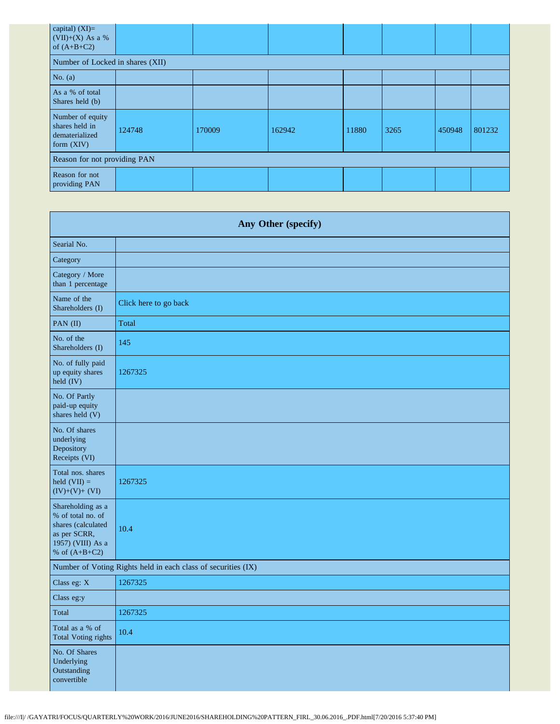| capital) $(XI)=$<br>(VII)+(X) As a %<br>of $(A+B+C2)$              |        |        |        |       |      |        |        |
|--------------------------------------------------------------------|--------|--------|--------|-------|------|--------|--------|
| Number of Locked in shares (XII)                                   |        |        |        |       |      |        |        |
| No. $(a)$                                                          |        |        |        |       |      |        |        |
| As a % of total<br>Shares held (b)                                 |        |        |        |       |      |        |        |
| Number of equity<br>shares held in<br>dematerialized<br>form (XIV) | 124748 | 170009 | 162942 | 11880 | 3265 | 450948 | 801232 |
| Reason for not providing PAN                                       |        |        |        |       |      |        |        |
| Reason for not<br>providing PAN                                    |        |        |        |       |      |        |        |

| Any Other (specify)                                                                                                  |                       |  |  |
|----------------------------------------------------------------------------------------------------------------------|-----------------------|--|--|
| Searial No.                                                                                                          |                       |  |  |
| Category                                                                                                             |                       |  |  |
| Category / More<br>than 1 percentage                                                                                 |                       |  |  |
| Name of the<br>Shareholders (I)                                                                                      | Click here to go back |  |  |
| PAN (II)                                                                                                             | Total                 |  |  |
| No. of the<br>Shareholders (I)                                                                                       | 145                   |  |  |
| No. of fully paid<br>up equity shares<br>held (IV)                                                                   | 1267325               |  |  |
| No. Of Partly<br>paid-up equity<br>shares held (V)                                                                   |                       |  |  |
| No. Of shares<br>underlying<br>Depository<br>Receipts (VI)                                                           |                       |  |  |
| Total nos. shares<br>held $(VII) =$<br>$(IV)+(V)+(VI)$                                                               | 1267325               |  |  |
| Shareholding as a<br>% of total no. of<br>shares (calculated<br>as per SCRR,<br>1957) (VIII) As a<br>% of $(A+B+C2)$ | 10.4                  |  |  |
| Number of Voting Rights held in each class of securities (IX)                                                        |                       |  |  |
| Class eg: X                                                                                                          | 1267325               |  |  |
| Class eg:y                                                                                                           |                       |  |  |
| Total                                                                                                                | 1267325               |  |  |
| Total as a % of<br><b>Total Voting rights</b>                                                                        | 10.4                  |  |  |
| No. Of Shares<br>Underlying<br>Outstanding<br>convertible                                                            |                       |  |  |